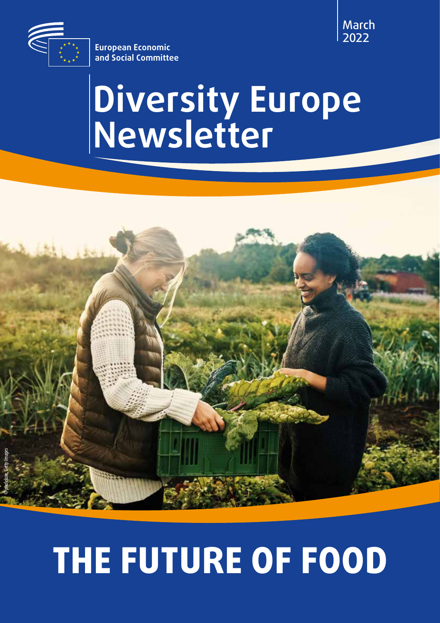

*© pixdeluxe, Getty Images*

March 2022

**European Economic and Social Committee**

# **Diversity Europe Newsletter**

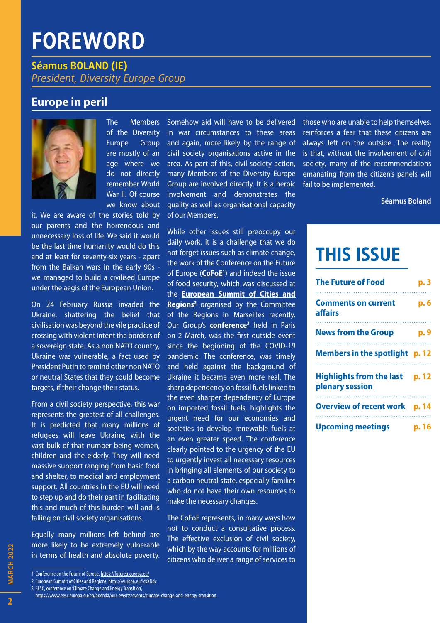# **FOREWORD**

**Séamus BOLAND (IE)** *President, Diversity Europe Group*

### **Europe in peril**



The Members of the Diversity Europe Group are mostly of an age where we do not directly remember World War II. Of course we know about

it. We are aware of the stories told by our parents and the horrendous and unnecessary loss of life. We said it would be the last time humanity would do this and at least for seventy-six years - apart from the Balkan wars in the early 90s we managed to build a civilised Europe under the aegis of the European Union.

On 24 February Russia invaded the Ukraine, shattering the belief that civilisation was beyond the vile practice of crossing with violent intent the borders of a sovereign state. As a non NATO country, Ukraine was vulnerable, a fact used by President Putin to remind other non NATO or neutral States that they could become targets, if their change their status.

From a civil society perspective, this war represents the greatest of all challenges. It is predicted that many millions of refugees will leave Ukraine, with the vast bulk of that number being women, children and the elderly. They will need massive support ranging from basic food and shelter, to medical and employment support. All countries in the EU will need to step up and do their part in facilitating this and much of this burden will and is falling on civil society organisations.

Equally many millions left behind are more likely to be extremely vulnerable in terms of health and absolute poverty.

1 Conference on the Future of Europe,<https://futureu.europa.eu/>

2 European Summit of Cities and Regions, <https://europa.eu/!ckXNdc>

3 EESC, conference on 'Climate Change and Energy Transition',

Somehow aid will have to be delivered in war circumstances to these areas and again, more likely by the range of civil society organisations active in the area. As part of this, civil society action, many Members of the Diversity Europe Group are involved directly. It is a heroic involvement and demonstrates the quality as well as organisational capacity of our Members.

While other issues still preoccupy our daily work, it is a challenge that we do not forget issues such as climate change, the work of the Conference on the Future of Europe (**[CoFoE](https://futureu.europa.eu/?locale=en)1** ) and indeed the issue of food security, which was discussed at the **[European Summit of Cities and](https://cor.europa.eu/en/events/Pages/summits.aspx)**  Regions<sup>2</sup> organised by the Committee of the Regions in Marseilles recently. Our Group's **[conference](https://www.eesc.europa.eu/en/agenda/our-events/events/climate-change-and-energy-transition)3** held in Paris on 2 March, was the first outside event since the beginning of the COVID-19 pandemic. The conference, was timely and held against the background of Ukraine it became even more real. The sharp dependency on fossil fuels linked to the even sharper dependency of Europe on imported fossil fuels, highlights the urgent need for our economies and societies to develop renewable fuels at an even greater speed. The conference clearly pointed to the urgency of the EU to urgently invest all necessary resources in bringing all elements of our society to a carbon neutral state, especially families who do not have their own resources to make the necessary changes.

The CoFoE represents, in many ways how not to conduct a consultative process. The effective exclusion of civil society, which by the way accounts for millions of citizens who deliver a range of services to

those who are unable to help themselves, reinforces a fear that these citizens are always left on the outside. The reality is that, without the involvement of civil society, many of the recommendations emanating from the citizen's panels will fail to be implemented.

**Séamus Boland**

# **THIS ISSUE**

| <b>The Future of Food</b>                          | p. 3  |
|----------------------------------------------------|-------|
| <b>Comments on current</b><br>affairs              | p. 6  |
| <b>News from the Group</b>                         | p. 9  |
| Members in the spotlight p. 12                     |       |
| <b>Highlights from the last</b><br>plenary session | p. 12 |
| <b>Overview of recent work p. 14</b>               |       |
| <b>Upcoming meetings</b>                           | p. 16 |

**MARCH 2022** 

<https://www.eesc.europa.eu/en/agenda/our-events/events/climate-change-and-energy-transition>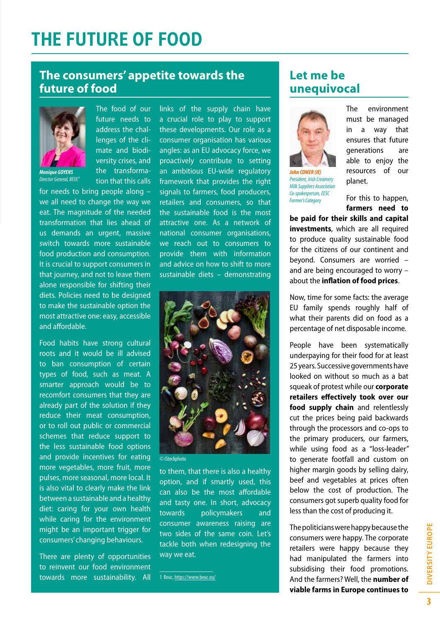# **THE FUTURE OF FOOD**

### **The consumers' appetite towards the future of food**



*Monique GOYENS Director General, [BEUC](https://www.beuc.eu/)1*

The food of our future needs to address the challenges of the climate and biodiversity crises, and the transformation that this calls

for needs to bring people along – we all need to change the way we eat. The magnitude of the needed transformation that lies ahead of us demands an urgent, massive switch towards more sustainable food production and consumption. It is crucial to support consumers in that journey, and not to leave them alone responsible for shifting their diets. Policies need to be designed to make the sustainable option the most attractive one: easy, accessible and affordable.

Food habits have strong cultural roots and it would be ill advised to ban consumption of certain types of food, such as meat. A smarter approach would be to recomfort consumers that they are already part of the solution if they reduce their meat consumption, or to roll out public or commercial schemes that reduce support to the less sustainable food options and provide incentives for eating more vegetables, more fruit, more pulses, more seasonal, more local. It is also vital to clearly make the link between a sustainable and a healthy diet: caring for your own health while caring for the environment might be an important trigger for consumers' changing behaviours.

There are plenty of opportunities to reinvent our food environment towards more sustainability. All

links of the supply chain have a crucial role to play to support these developments. Our role as a consumer organisation has various angles: as an EU advocacy force, we proactively contribute to setting an ambitious EU-wide regulatory framework that provides the right signals to farmers, food producers, retailers and consumers, so that the sustainable food is the most attractive one. As a network of national consumer organisations, we reach out to consumers to provide them with information and advice on how to shift to more sustainable diets – demonstrating



© iStockphoto

to them, that there is also a healthy option, and if smartly used, this can also be the most affordable and tasty one. In short, advocacy towards policymakers and consumer awareness raising are two sides of the same coin. Let's tackle both when redesigning the way we eat.

1 Beuc,<https://www.beuc.eu/>

# **Let me be unequivocal**



*John COMER (IE) President, Irish Creamery Milk Suppliers Association Co-spokesperson, EESC Farmer's Category*

The environment must be managed in a way that ensures that future generations are able to enjoy the resources of our planet.

For this to happen, **farmers need to** 

**be paid for their skills and capital investments**, which are all required to produce quality sustainable food for the citizens of our continent and beyond. Consumers are worried – and are being encouraged to worry – about the **inflation of food prices**.

Now, time for some facts: the average EU family spends roughly half of what their parents did on food as a percentage of net disposable income.

People have been systematically underpaying for their food for at least 25 years. Successive governments have looked on without so much as a bat squeak of protest while our **corporate retailers effectively took over our food supply chain** and relentlessly cut the prices being paid backwards through the processors and co-ops to the primary producers, our farmers, while using food as a "loss-leader" to generate footfall and custom on higher margin goods by selling dairy, beef and vegetables at prices often below the cost of production. The consumers got superb quality food for less than the cost of producing it.

The politicians were happy because the consumers were happy. The corporate retailers were happy because they had manipulated the farmers into subsidising their food promotions. And the farmers? Well, the **number of viable farms in Europe continues to**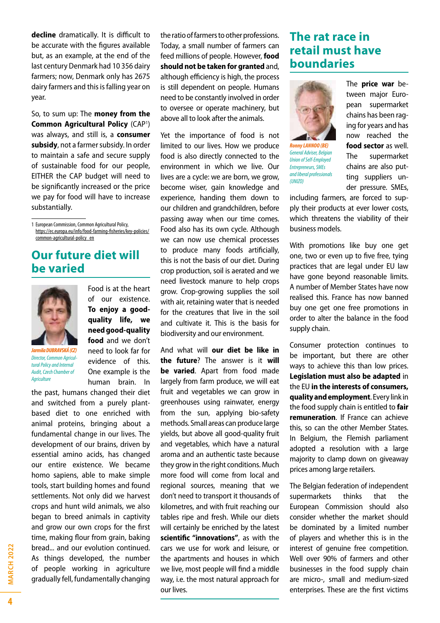**decline** dramatically. It is difficult to be accurate with the figures available but, as an example, at the end of the last century Denmark had 10 356 dairy farmers; now, Denmark only has 2675 dairy farmers and this is falling year on year.

So, to sum up: The **money from the Common Agricultural Policy ([CAP](https://ec.europa.eu/info/food-farming-fisheries/key-policies/common-agricultural-policy_en)1)** was always, and still is, a **consumer subsidy**, not a farmer subsidy. In order to maintain a safe and secure supply of sustainable food for our people, EITHER the CAP budget will need to be significantly increased or the price we pay for food will have to increase substantially.

1 European Commission, Common Agricultural Policy, [https://ec.europa.eu/info/food-farming-fisheries/key-policies/](https://ec.europa.eu/info/food-farming-fisheries/key-policies/common-agricultural-policy_en) [common-agricultural-policy\\_en](https://ec.europa.eu/info/food-farming-fisheries/key-policies/common-agricultural-policy_en)

### **Our future diet will be varied**



*Jarmila DUBRAVSKÁ (CZ) Director, Common Agricultural Policy and Internal Audit, Czech Chamber of Agriculture*

Food is at the heart of our existence. **To enjoy a goodquality life, we need good-quality food** and we don't need to look far for evidence of this. One example is the human brain. In

the past, humans changed their diet and switched from a purely plantbased diet to one enriched with animal proteins, bringing about a fundamental change in our lives. The development of our brains, driven by essential amino acids, has changed our entire existence. We became homo sapiens, able to make simple tools, start building homes and found settlements. Not only did we harvest crops and hunt wild animals, we also began to breed animals in captivity and grow our own crops for the first time, making flour from grain, baking bread... and our evolution continued. As things developed, the number of people working in agriculture gradually fell, fundamentally changing

the ratio of farmers to other professions. Today, a small number of farmers can feed millions of people. However, **food should not be taken for granted** and, although efficiency is high, the process is still dependent on people. Humans need to be constantly involved in order to oversee or operate machinery, but above all to look after the animals.

Yet the importance of food is not limited to our lives. How we produce food is also directly connected to the environment in which we live. Our lives are a cycle: we are born, we grow. become wiser, gain knowledge and experience, handing them down to our children and grandchildren, before passing away when our time comes. Food also has its own cycle. Although we can now use chemical processes to produce many foods artificially, this is not the basis of our diet. During crop production, soil is aerated and we need livestock manure to help crops grow. Crop-growing supplies the soil with air, retaining water that is needed for the creatures that live in the soil and cultivate it. This is the basis for biodiversity and our environment.

And what will **our diet be like in the future**? The answer is it **will be varied**. Apart from food made largely from farm produce, we will eat fruit and vegetables we can grow in greenhouses using rainwater, energy from the sun, applying bio-safety methods. Small areas can produce large yields, but above all good-quality fruit and vegetables, which have a natural aroma and an authentic taste because they grow in the right conditions. Much more food will come from local and regional sources, meaning that we don't need to transport it thousands of kilometres, and with fruit reaching our tables ripe and fresh. While our diets will certainly be enriched by the latest **scientific "innovations"**, as with the cars we use for work and leisure, or the apartments and houses in which we live, most people will find a middle way, i.e. the most natural approach for our lives.

### **The rat race in retail must have boundaries**



*Ronny LANNOO (BE) General Adviser, Belgian Union of Self-Employed Entrepreneurs, SMEs and liberal professionals (UNIZO)*

The **price war** between major European supermarket chains has been raging for years and has now reached the **food sector** as well. The supermarket chains are also putting suppliers under pressure. SMEs,

including farmers, are forced to supply their products at ever lower costs, which threatens the viability of their business models.

With promotions like buy one get one, two or even up to five free, tying practices that are legal under EU law have gone beyond reasonable limits. A number of Member States have now realised this. France has now banned buy one get one free promotions in order to alter the balance in the food supply chain.

Consumer protection continues to be important, but there are other ways to achieve this than low prices. **Legislation must also be adapted** in the EU **in the interests of consumers, quality and employment**. Every link in the food supply chain is entitled to **fair remuneration**. If France can achieve this, so can the other Member States. In Belgium, the Flemish parliament adopted a resolution with a large majority to clamp down on giveaway prices among large retailers.

The Belgian federation of independent supermarkets thinks that the European Commission should also consider whether the market should be dominated by a limited number of players and whether this is in the interest of genuine free competition. Well over 90% of farmers and other businesses in the food supply chain are micro-, small and medium-sized enterprises. These are the first victims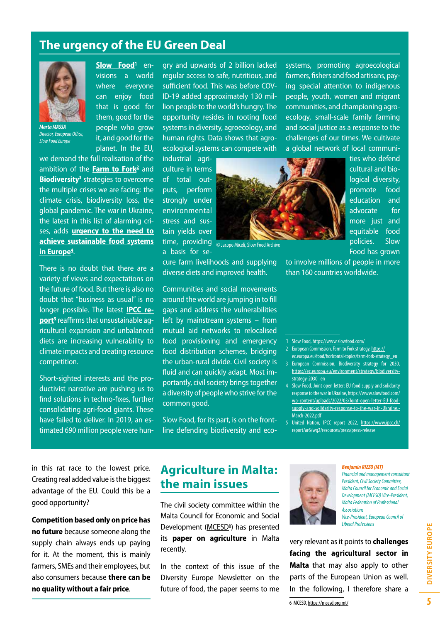### **The urgency of the EU Green Deal**

**[Slow Food](https://www.slowfood.com/)1** envisions a world where everyone can enjoy food that is good for them, good for the people who grow it, and good for the planet. In the EU,



*Director, European Office, Slow Food Europe*

we demand the full realisation of the ambition of the *Farm to Fork<sup>2</sup> and* **Biodiversity<sup>3</sup>** strategies to overcome the multiple crises we are facing: the climate crisis, biodiversity loss, the global pandemic. The war in Ukraine, the latest in this list of alarming crises, adds **[urgency to the need to](https://www.slowfood.com/wp-content/uploads/2022/03/Joint-open-letter-EU-food-supply-and-solidarity-response-to-the-war-in-Ukraine.-March-2022.pdf) [achieve sustainable food systems](https://www.slowfood.com/wp-content/uploads/2022/03/Joint-open-letter-EU-food-supply-and-solidarity-response-to-the-war-in-Ukraine.-March-2022.pdf) [in Europe4](https://www.slowfood.com/wp-content/uploads/2022/03/Joint-open-letter-EU-food-supply-and-solidarity-response-to-the-war-in-Ukraine.-March-2022.pdf)** .

There is no doubt that there are a variety of views and expectations on the future of food. But there is also no doubt that "business as usual" is no longer possible. The latest **[IPCC re](https://www.ipcc.ch/report/ar6/wg2/resources/press/press-release)[port5](https://www.ipcc.ch/report/ar6/wg2/resources/press/press-release)** reaffirms that unsustainable agricultural expansion and unbalanced diets are increasing vulnerability to climate impacts and creating resource competition.

Short-sighted interests and the productivist narrative are pushing us to find solutions in techno-fixes, further consolidating agri-food giants. These have failed to deliver. In 2019, an estimated 690 million people were hungry and upwards of 2 billion lacked regular access to safe, nutritious, and sufficient food. This was before COV-ID-19 added approximately 130 million people to the world's hungry. The opportunity resides in rooting food systems in diversity, agroecology, and human rights. Data shows that agroecological systems can compete with

industrial agriculture in terms of total outputs, perform strongly under environmental stress and sustain yields over a basis for se-

cure farm livelihoods and supplying diverse diets and improved health.

time, providing <sub>O Jacopo</sub> Miceli, Slow Food Archive Communities and social movements to involve millions of people in more than 160 countries worldwide.

around the world are jumping in to fill gaps and address the vulnerabilities left by mainstream systems – from mutual aid networks to relocalised food provisioning and emergency food distribution schemes, bridging the urban-rural divide. Civil society is fluid and can quickly adapt. Most importantly, civil society brings together a diversity of people who strive for the common good.

Slow Food, for its part, is on the frontline defending biodiversity and ecosystems, promoting agroecological farmers, fishers and food artisans, paying special attention to indigenous people, youth, women and migrant communities, and championing agroecology, small-scale family farming and social justice as a response to the challenges of our times. We cultivate a global network of local communi-



ties who defend cultural and biological diversity, promote food education and advocate for more just and equitable food policies. Slow Food has grown

1 Slow Food,<https://www.slowfood.com/>

- 2 European Commission, Farm to Fork strategy, [https://](https://ec.europa.eu/food/horizontal-topics/farm-fork-strategy_en)
- [ec.europa.eu/food/horizontal-topics/farm-fork-strategy\\_en](https://ec.europa.eu/food/horizontal-topics/farm-fork-strategy_en) 3 European Commission, Biodiversity strategy for 2030, [https://ec.europa.eu/environment/strategy/biodiversity](https://ec.europa.eu/environment/strategy/biodiversity-strategy-2030_en)[strategy-2030\\_en](https://ec.europa.eu/environment/strategy/biodiversity-strategy-2030_en)
- 4 Slow Food, Joint open letter: EU food supply and solidarity response to the war in Ukraine, [https://www.slowfood.com/](https://www.slowfood.com/wp-content/uploads/2022/03/Joint-open-letter-EU-food-supply-and-solidarity-response-to-the-war-in-Ukraine.-March-2022.pdf) [wp-content/uploads/2022/03/Joint-open-letter-EU-food](https://www.slowfood.com/wp-content/uploads/2022/03/Joint-open-letter-EU-food-supply-and-solidarity-response-to-the-war-in-Ukraine.-March-2022.pdf)[supply-and-solidarity-response-to-the-war-in-Ukraine.-](https://www.slowfood.com/wp-content/uploads/2022/03/Joint-open-letter-EU-food-supply-and-solidarity-response-to-the-war-in-Ukraine.-March-2022.pdf) [March-2022.pdf](https://www.slowfood.com/wp-content/uploads/2022/03/Joint-open-letter-EU-food-supply-and-solidarity-response-to-the-war-in-Ukraine.-March-2022.pdf)

in this rat race to the lowest price. Creating real added value is the biggest advantage of the EU. Could this be a good opportunity?

**Competition based only on price has no future** because someone along the supply chain always ends up paying for it. At the moment, this is mainly farmers, SMEs and their employees, but also consumers because **there can be no quality without a fair price**.

### **Agriculture in Malta: the main issues**

The civil society committee within the Malta Council for Economic and Social Development (MCESD<sup>6</sup>) has presented its **paper on agriculture** in Malta recently.

In the context of this issue of the Diversity Europe Newsletter on the future of food, the paper seems to me



#### *Benjamin RIZZO (MT)*

*Financial and management consultant President, Civil Society Committee, Malta Council for Economic and Social Development (MCESD) Vice-President, Malta Federation of Professional Associations Vice-President, European Council of Liberal Professions*

very relevant as it points to **challenges facing the agricultural sector in Malta** that may also apply to other parts of the European Union as well. In the following, I therefore share a

6 MCESD, <https://mcesd.org.mt/>

<sup>5</sup> United Nation, IPCC report 2022, [https://www.ipcc.ch/](https://www.ipcc.ch/report/ar6/wg2/resources/press/press-release) [report/ar6/wg2/resources/press/press-release](https://www.ipcc.ch/report/ar6/wg2/resources/press/press-release)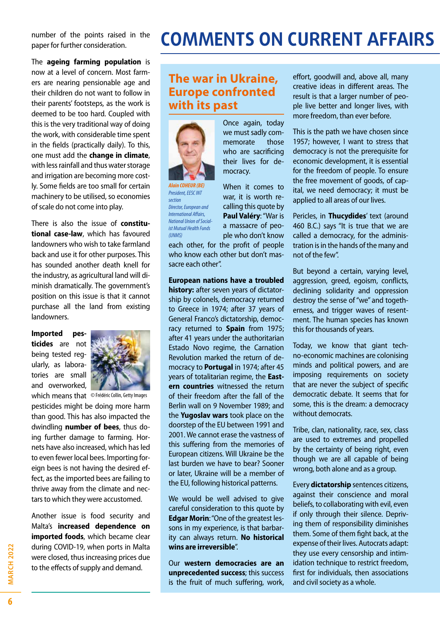number of the points raised in the paper for further consideration.

The **ageing farming population** is now at a level of concern. Most farmers are nearing pensionable age and their children do not want to follow in their parents' footsteps, as the work is deemed to be too hard. Coupled with this is the very traditional way of doing the work, with considerable time spent in the fields (practically daily). To this, one must add the **change in climate**, with less rainfall and thus water storage and irrigation are becoming more costly. Some fields are too small for certain machinery to be utilised, so economies of scale do not come into play.

There is also the issue of **constitutional case-law**, which has favoured landowners who wish to take farmland back and use it for other purposes. This has sounded another death knell for the industry, as agricultural land will diminish dramatically. The government's position on this issue is that it cannot purchase all the land from existing landowners.

**Imported pesticides** are not being tested regularly, as laboratories are small and overworked,



which means that © Frédéric Collin, Getty Images

pesticides might be doing more harm than good. This has also impacted the dwindling **number of bees**, thus doing further damage to farming. Hornets have also increased, which has led to even fewer local bees. Importing foreign bees is not having the desired effect, as the imported bees are failing to thrive away from the climate and nectars to which they were accustomed.

Another issue is food security and Malta's **increased dependence on imported foods**, which became clear during COVID-19, when ports in Malta were closed, thus increasing prices due to the effects of supply and demand.

# **COMMENTS ON CURRENT AFFAIRS**

# **The war in Ukraine, Europe confronted with its past**



*Alain COHEUR (BE) President, EESC INT section Director, European and International Affairs, National Union of Socialist Mutual Health Funds (UNMS)*

Once again, today we must sadly commemorate those who are sacrificing their lives for democracy.

When it comes to war, it is worth recalling this quote by **Paul Valéry**: "War is a massacre of people who don't know each other, for the profit of people

who know each other but don't massacre each other".

**European nations have a troubled** 

**history:** after seven years of dictatorship by colonels, democracy returned to Greece in 1974; after 37 years of General Franco's dictatorship, democracy returned to **Spain** from 1975; after 41 years under the authoritarian Estado Novo regime, the Carnation Revolution marked the return of democracy to **Portugal** in 1974; after 45 years of totalitarian regime, the **Eastern countries** witnessed the return of their freedom after the fall of the Berlin wall on 9 November 1989; and the **Yugoslav wars** took place on the doorstep of the EU between 1991 and 2001. We cannot erase the vastness of this suffering from the memories of European citizens. Will Ukraine be the last burden we have to bear? Sooner or later, Ukraine will be a member of the EU, following historical patterns.

We would be well advised to give careful consideration to this quote by **Edgar Morin**: "One of the greatest lessons in my experience, is that barbarity can always return. **No historical wins are irreversible**".

Our **western democracies are an unprecedented success**; this success is the fruit of much suffering, work,

effort, goodwill and, above all, many creative ideas in different areas. The result is that a larger number of people live better and longer lives, with more freedom, than ever before.

This is the path we have chosen since 1957; however, I want to stress that democracy is not the prerequisite for economic development, it is essential for the freedom of people. To ensure the free movement of goods, of capital, we need democracy; it must be applied to all areas of our lives.

Pericles, in **Thucydides**' text (around 460 B.C.) says "It is true that we are called a democracy, for the administration is in the hands of the many and not of the few".

But beyond a certain, varying level, aggression, greed, egoism, conflicts, declining solidarity and oppression destroy the sense of "we" and togetherness, and trigger waves of resentment. The human species has known this for thousands of years.

Today, we know that giant techno-economic machines are colonising minds and political powers, and are imposing requirements on society that are never the subject of specific democratic debate. It seems that for some, this is the dream: a democracy without democrats.

Tribe, clan, nationality, race, sex, class are used to extremes and propelled by the certainty of being right, even though we are all capable of being wrong, both alone and as a group.

Every **dictatorship** sentences citizens, against their conscience and moral beliefs, to collaborating with evil, even if only through their silence. Depriving them of responsibility diminishes them. Some of them fight back, at the expense of their lives. Autocrats adapt: they use every censorship and intimidation technique to restrict freedom, first for individuals, then associations and civil society as a whole.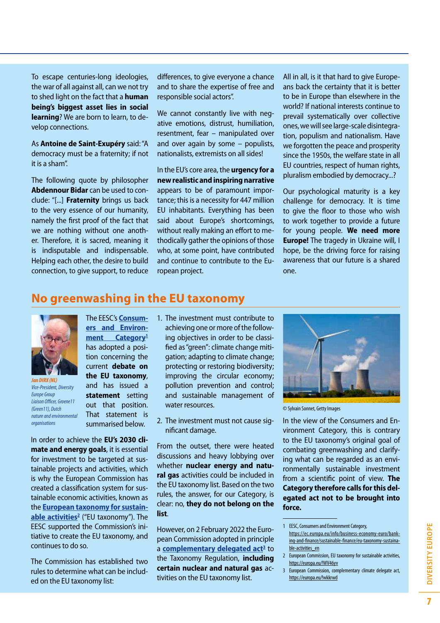To escape centuries-long ideologies, the war of all against all, can we not try to shed light on the fact that a **human being's biggest asset lies in social learning**? We are born to learn, to develop connections.

As **Antoine de Saint-Exupéry** said: "A democracy must be a fraternity; if not it is a sham".

The following quote by philosopher **Abdennour Bidar** can be used to conclude: "[...] **Fraternity** brings us back to the very essence of our humanity, namely the first proof of the fact that we are nothing without one another. Therefore, it is sacred, meaning it is indisputable and indispensable. Helping each other, the desire to build connection, to give support, to reduce

differences, to give everyone a chance and to share the expertise of free and responsible social actors".

We cannot constantly live with negative emotions, distrust, humiliation, resentment, fear – manipulated over and over again by some – populists, nationalists, extremists on all sides!

In the EU's core area, the **urgency for a new realistic and inspiring narrative** appears to be of paramount importance; this is a necessity for 447 million EU inhabitants. Everything has been said about Europe's shortcomings, without really making an effort to methodically gather the opinions of those who, at some point, have contributed and continue to contribute to the European project.

All in all, is it that hard to give Europeans back the certainty that it is better to be in Europe than elsewhere in the world? If national interests continue to prevail systematically over collective ones, we will see large-scale disintegration, populism and nationalism. Have we forgotten the peace and prosperity since the 1950s, the welfare state in all EU countries, respect of human rights, pluralism embodied by democracy...?

Our psychological maturity is a key challenge for democracy. It is time to give the floor to those who wish to work together to provide a future for young people. **We need more Europe!** The tragedy in Ukraine will, I hope, be the driving force for raising awareness that our future is a shared one.

### **No greenwashing in the EU taxonomy**



*Jan DIRX (NL) Vice-President, Diversity Europe Group Liaison Officer, Groene11 (Green11), Dutch nature and environmental organisations*

The EESC's **[Consum](https://europa.eu/!Nf36rW)[ers and Environ](https://europa.eu/!Nf36rW)[ment Category](https://europa.eu/!Nf36rW)1** has adopted a position concerning the current **debate on the EU taxonomy**, and has issued a **statement** setting out that position. That statement is summarised below.

In order to achieve the **EU's 2030 climate and energy goals**, it is essential for investment to be targeted at sustainable projects and activities, which is why the European Commission has created a classification system for sustainable economic activities, known as the **[European taxonomy for sustain](https://ec.europa.eu/info/business-economy-euro/banking-and-finance/sustainable-finance/eu-taxonomy-sustainable-activities_en)[able activities2](https://ec.europa.eu/info/business-economy-euro/banking-and-finance/sustainable-finance/eu-taxonomy-sustainable-activities_en)** ("EU taxonomy"). The EESC supported the Commission's initiative to create the EU taxonomy, and continues to do so.

The Commission has established two rules to determine what can be included on the EU taxonomy list:

- 1. The investment must contribute to achieving one or more of the following objectives in order to be classified as "green": climate change mitigation; adapting to climate change; protecting or restoring biodiversity; improving the circular economy; pollution prevention and control; and sustainable management of water resources.
- 2. The investment must not cause significant damage.

From the outset, there were heated discussions and heavy lobbying over whether **nuclear energy and natural gas** activities could be included in the EU taxonomy list. Based on the two rules, the answer, for our Category, is clear: no, **they do not belong on the list**.

However, on 2 February 2022 the European Commission adopted in principle a **[complementary delegated act](https://europa.eu/!wkkrwd)<sup>3</sup> to** the Taxonomy Regulation, **including certain nuclear and natural gas** activities on the EU taxonomy list.



© Sylvain Sonnet, Getty Images

In the view of the Consumers and Environment Category, this is contrary to the EU taxonomy's original goal of combating greenwashing and clarifying what can be regarded as an environmentally sustainable investment from a scientific point of view. **The Category therefore calls for this delegated act not to be brought into force.**

- 2 European Commission, EU taxonomy for sustainable activities, <https://europa.eu/!WV46yv>
- 3 European Commission, complementary climate delegate act, <https://europa.eu/!wkkrwd>

<sup>1</sup> EESC, Consumers and Environment Category, [https://ec.europa.eu/info/business-economy-euro/bank](https://ec.europa.eu/info/business-economy-euro/banking-and-finance/sustainable-finance/eu-taxonomy-sustainable-activities_en)[ing-and-finance/sustainable-finance/eu-taxonomy-sustaina](https://ec.europa.eu/info/business-economy-euro/banking-and-finance/sustainable-finance/eu-taxonomy-sustainable-activities_en)[ble-activities\\_en](https://ec.europa.eu/info/business-economy-euro/banking-and-finance/sustainable-finance/eu-taxonomy-sustainable-activities_en)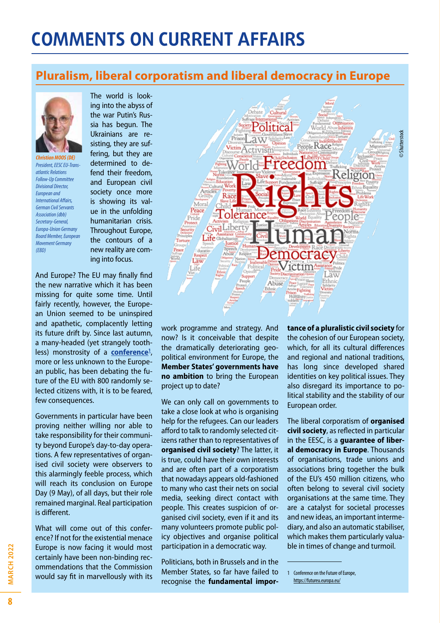# **COMMENTS ON CURRENT AFFAIRS**

# **Pluralism, liberal corporatism and liberal democracy in Europe**



*Christian MOOS (DE) President, EESC EU-Transatlantic Relations Follow-Up Committee Divisional Director, European and International Affairs, German Civil Servants Association (dbb) Secretary-General, Europa-Union Germany Board Member, European Movement Germany (EBD)*

ing into the abyss of the war Putin's Russia has begun. The Ukrainians are resisting, they are suffering, but they are determined to defend their freedom, and European civil society once more is showing its value in the unfolding humanitarian crisis. Throughout Europe, the contours of a new reality are coming into focus.

The world is look-

And Europe? The EU may finally find the new narrative which it has been missing for quite some time. Until fairly recently, however, the European Union seemed to be uninspired and apathetic, complacently letting its future drift by. Since last autumn, a many-headed (yet strangely toothless) monstrosity of a **conference**<sup>1</sup>, more or less unknown to the European public, has been debating the future of the EU with 800 randomly selected citizens with, it is to be feared, few consequences.

Governments in particular have been proving neither willing nor able to take responsibility for their community beyond Europe's day-to-day operations. A few representatives of organised civil society were observers to this alarmingly feeble process, which will reach its conclusion on Europe Day (9 May), of all days, but their role remained marginal. Real participation is different.

What will come out of this conference? If not for the existential menace Europe is now facing it would most certainly have been non-binding recommendations that the Commission would say fit in marvellously with its



work programme and strategy. And now? Is it conceivable that despite the dramatically deteriorating geopolitical environment for Europe, the **Member States' governments have no ambition** to bring the European project up to date?

We can only call on governments to take a close look at who is organising help for the refugees. Can our leaders afford to talk to randomly selected citizens rather than to representatives of **organised civil society**? The latter, it is true, could have their own interests and are often part of a corporatism that nowadays appears old-fashioned to many who cast their nets on social media, seeking direct contact with people. This creates suspicion of organised civil society, even if it and its many volunteers promote public policy objectives and organise political participation in a democratic way.

Politicians, both in Brussels and in the Member States, so far have failed to recognise the **fundamental impor-** **tance of a pluralistic civil society** for the cohesion of our European society, which, for all its cultural differences and regional and national traditions, has long since developed shared identities on key political issues. They also disregard its importance to political stability and the stability of our European order.

The liberal corporatism of **organised civil society**, as reflected in particular in the EESC, is a **guarantee of liberal democracy in Europe**. Thousands of organisations, trade unions and associations bring together the bulk of the EU's 450 million citizens, who often belong to several civil society organisations at the same time. They are a catalyst for societal processes and new ideas, an important intermediary, and also an automatic stabiliser, which makes them particularly valuable in times of change and turmoil.

<sup>1</sup> Conference on the Future of Europe, <https://futureu.europa.eu/>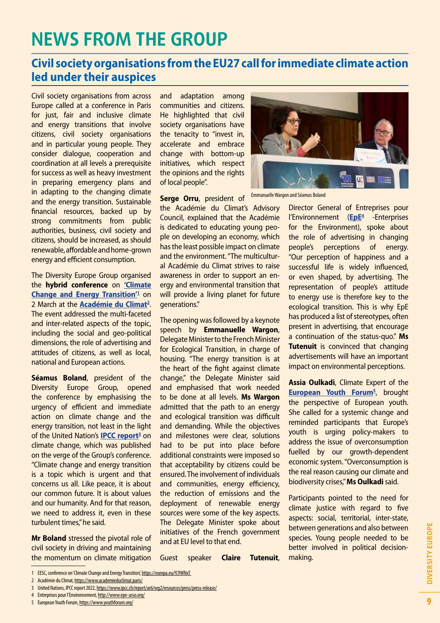# **NEWS FROM THE GROUP**

# **Civil society organisations from the EU27 call for immediate climate action led under their auspices**

Civil society organisations from across Europe called at a conference in Paris for just, fair and inclusive climate and energy transitions that involve citizens, civil society organisations and in particular young people. They consider dialogue, cooperation and coordination at all levels a prerequisite for success as well as heavy investment in preparing emergency plans and in adapting to the changing climate and the energy transition. Sustainable financial resources, backed up by strong commitments from public authorities, business, civil society and citizens, should be increased, as should renewable, affordable and home-grown energy and efficient consumption.

The Diversity Europe Group organised the **hybrid conference** on **['Climate](https://europa.eu/!C9WNxT)  Change and Energy Transition<sup>'1</sup> on** 2 March at the **[Académie du Climat](https://www.academieduclimat.paris/)2** . The event addressed the multi-faceted and inter-related aspects of the topic, including the social and geo-political dimensions, the role of advertising and attitudes of citizens, as well as local, national and European actions.

**Séamus Boland**, president of the Diversity Europe Group, opened the conference by emphasising the urgency of efficient and immediate action on climate change and the energy transition, not least in the light of the United Nation's **IPCC report<sup>3</sup>** on climate change, which was published on the verge of the Group's conference. "Climate change and energy transition is a topic which is urgent and that concerns us all. Like peace, it is about our common future. It is about values and our humanity. And for that reason, we need to address it, even in these turbulent times," he said.

**Mr Boland** stressed the pivotal role of civil society in driving and maintaining the momentum on climate mitigation and adaptation among communities and citizens. He highlighted that civil society organisations have the tenacity to "invest in, accelerate and embrace change with bottom-up initiatives, which respect the opinions and the rights of local people".

**Serge Orru**, president of the Académie du Climat's Advisory Council, explained that the Académie is dedicated to educating young people on developing an economy, which has the least possible impact on climate and the environment. "The multicultural Académie du Climat strives to raise awareness in order to support an energy and environmental transition that will provide a living planet for future generations."

The opening was followed by a keynote speech by **Emmanuelle Wargon**, Delegate Minister to the French Minister for Ecological Transition, in charge of housing. "The energy transition is at the heart of the fight against climate change," the Delegate Minister said and emphasised that work needed to be done at all levels. **Ms Wargon** admitted that the path to an energy and ecological transition was difficult and demanding. While the objectives and milestones were clear, solutions had to be put into place before additional constraints were imposed so that acceptability by citizens could be ensured. The involvement of individuals and communities, energy efficiency, the reduction of emissions and the deployment of renewable energy sources were some of the key aspects. The Delegate Minister spoke about initiatives of the French government and at EU level to that end.

Guest speaker **Claire Tutenuit**,



Emmanuelle Wargon and Séamus Boland

Director General of Entreprises pour l'Environnement (EpE<sup>4</sup> -Enterprises for the Environment), spoke about the role of advertising in changing people's perceptions of energy. "Our perception of happiness and a successful life is widely influenced, or even shaped, by advertising. The representation of people's attitude to energy use is therefore key to the ecological transition. This is why EpE has produced a list of stereotypes, often present in advertising, that encourage a continuation of the status-quo." **Ms Tutenuit** is convinced that changing advertisements will have an important impact on environmental perceptions.

**Assia Oulkadi**, Climate Expert of the **[European Youth Forum](https://www.youthforum.org/)5** , brought the perspective of European youth. She called for a systemic change and reminded participants that Europe's youth is urging policy-makers to address the issue of overconsumption fuelled by our growth-dependent economic system. "Overconsumption is the real reason causing our climate and biodiversity crises," **Ms Oulkadi** said.

Participants pointed to the need for climate justice with regard to five aspects: social, territorial, inter-state, between generations and also between species. Young people needed to be better involved in political decisionmaking.

4 Entreprises pour l'Environnement, <http://www.epe-asso.org/> 5 European Youth Forum,<https://www.youthforum.org/>

DIVERSITY EUROPE

<sup>1</sup> EESC, conference on 'Climate Change and Energy Transition', <https://europa.eu/!C9WNxT>

<sup>2</sup> Académie du Climat,<https://www.academieduclimat.paris/>

<sup>3</sup> United Nations, IPCC report 2022, <https://www.ipcc.ch/report/ar6/wg2/resources/press/press-release/>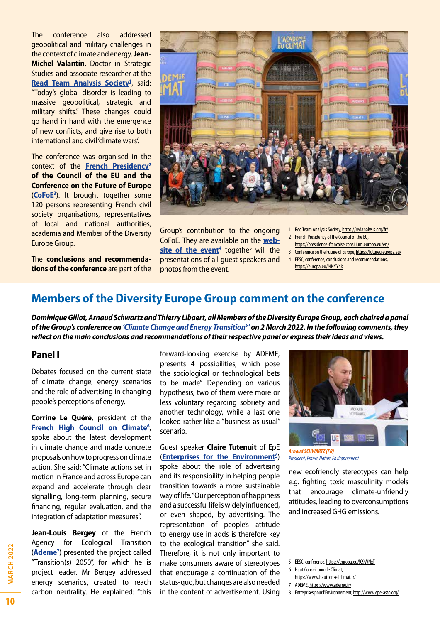The conference also addressed geopolitical and military challenges in the context of climate and energy. **Jean-Michel Valantin**, Doctor in Strategic Studies and associate researcher at the Read Team Analysis Society<sup>1</sup>, said: "Today's global disorder is leading to massive geopolitical, strategic and military shifts." These changes could go hand in hand with the emergence of new conflicts, and give rise to both international and civil 'climate wars'.

The conference was organised in the context of the **[French Presidency](https://presidence-francaise.consilium.europa.eu/en/)2 of the Council of the EU and the Conference on the Future of Europe** (**[CoFoE3](https://futureu.europa.eu/)** ). It brought together some 120 persons representing French civil society organisations, representatives of local and national authorities, academia and Member of the Diversity Europe Group.

The **conclusions and recommendations of the conference** are part of the



Group's contribution to the ongoing CoFoE. They are available on the **[web](https://europa.eu/!4NYY4k)[site of the event](https://europa.eu/!4NYY4k)<sup>4</sup> together will the** presentations of all guest speakers and photos from the event.

- 1 Red Team Analysis Society,<https://redanalysis.org/fr/> 2 French Presidency of the Council of the EU,
- <https://presidence-francaise.consilium.europa.eu/en/>
- 3 Conference on the Future of Europe, <https://futureu.europa.eu/>
- 4 EESC, conference, conclusions and recommendations, <https://europa.eu/!4NYY4k>

# **Members of the Diversity Europe Group comment on the conference**

*Dominique Gillot, Arnaud Schwartz and Thierry Libaert, all Members of the Diversity Europe Group, each chaired a panel of the Group's conference on ['Climate Change and Energy Transition](https://www.eesc.europa.eu/en/agenda/our-events/events/climate-change-and-energy-transition)5 ' on 2 March 2022. In the following comments, they reflect on the main conclusions and recommendations of their respective panel or express their ideas and views.*

#### **Panel I**

Debates focused on the current state of climate change, energy scenarios and the role of advertising in changing people's perceptions of energy.

**Corrine Le Quéré**, president of the **[French High Council on Climate](https://www.hautconseilclimat.fr/)6** , spoke about the latest development in climate change and made concrete proposals on how to progress on climate action. She said: "Climate actions set in motion in France and across Europe can expand and accelerate through clear signalling, long-term planning, secure financing, regular evaluation, and the integration of adaptation measures".

**Jean-Louis Bergey** of the French Agency for Ecological Transition (**[Ademe](https://www.ademe.fr/)7** ) presented the project called "Transition(s) 2050", for which he is project leader. Mr Bergey addressed energy scenarios, created to reach carbon neutrality. He explained: "this forward-looking exercise by ADEME, presents 4 possibilities, which pose the sociological or technological bets to be made". Depending on various hypothesis, two of them were more or less voluntary regarding sobriety and another technology, while a last one looked rather like a "business as usual" scenario.

#### Guest speaker **Claire Tutenuit** of EpE (**[Enterprises for the Environment](http://www.epe-asso.org/)8** )

spoke about the role of advertising and its responsibility in helping people transition towards a more sustainable way of life. "Our perception of happiness and a successful life is widely influenced, or even shaped, by advertising. The representation of people's attitude to energy use in adds is therefore key to the ecological transition" she said. Therefore, it is not only important to make consumers aware of stereotypes that encourage a continuation of the status-quo, but changes are also needed in the content of advertisement. Using



*President, France Nature Environnement*

new ecofriendly stereotypes can help e.g. fighting toxic masculinity models that encourage climate-unfriendly attitudes, leading to overconsumptions and increased GHG emissions.

<sup>5</sup> EESC, conference, <https://europa.eu/!C9WNxT>

<sup>6</sup> Haut Conseil pour le Climat,

<https://www.hautconseilclimat.fr/>

<sup>7</sup> ADEME,<https://www.ademe.fr/>

<sup>8</sup> Entreprises pour l'Environnement,<http://www.epe-asso.org/>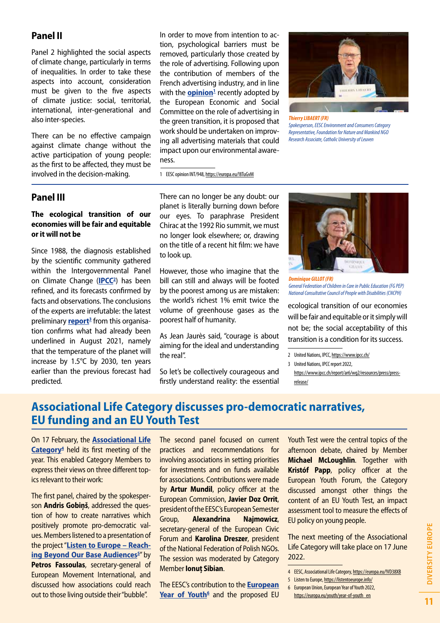### **Panel II**

Panel 2 highlighted the social aspects of climate change, particularly in terms of inequalities. In order to take these aspects into account, consideration must be given to the five aspects of climate justice: social, territorial, international, inter-generational and also inter-species.

There can be no effective campaign against climate change without the active participation of young people: as the first to be affected, they must be involved in the decision-making.

In order to move from intention to action, psychological barriers must be removed, particularly those created by the role of advertising. Following upon the contribution of members of the French advertising industry, and in line with the **[opinion](https://europa.eu/!8TuGvM)**<sup>1</sup> recently adopted by the European Economic and Social Committee on the role of advertising in the green transition, it is proposed that work should be undertaken on improving all advertising materials that could impact upon our environmental awareness.



*Thierry LIBAERT (FR) Spokesperson, EESC Environment and Consumers Category Representative, Foundation for Nature and Mankind NGO Research Associate, Catholic University of Leuven*

1 EESC opinion INT/948,<https://europa.eu/!8TuGvM>

#### **Panel III**

#### **The ecological transition of our economies will be fair and equitable or it will not be**

Since 1988, the diagnosis established by the scientific community gathered within the Intergovernmental Panel on Climate Change (**[IPCC](https://www.ipcc.ch/)2** ) has been refined, and its forecasts confirmed by facts and observations. The conclusions of the experts are irrefutable: the latest preliminary <mark>report</mark><sup>3</sup> from this organisation confirms what had already been underlined in August 2021, namely that the temperature of the planet will increase by 1.5°C by 2030, ten years earlier than the previous forecast had predicted.

There can no longer be any doubt: our planet is literally burning down before our eyes. To paraphrase President Chirac at the 1992 Rio summit, we must no longer look elsewhere; or, drawing on the title of a recent hit film: we have to look up.

However, those who imagine that the bill can still and always will be footed by the poorest among us are mistaken: the world's richest 1% emit twice the volume of greenhouse gases as the poorest half of humanity.

As Jean Jaurès said, "courage is about aiming for the ideal and understanding the real".

So let's be collectively courageous and firstly understand reality: the essential



*Dominique GILLOT (FR) General Federation of Children in Care in Public Education (FG PEP) National Consultative Council of People with Disabilities (CNCPH)*

ecological transition of our economies will be fair and equitable or it simply will not be; the social acceptability of this transition is a condition for its success.

# **Associational Life Category discusses pro-democratic narratives, EU funding and an EU Youth Test**

On 17 February, the **[Associational Life](https://europa.eu/!VD38XB) [Category](https://europa.eu/!VD38XB)4** held its first meeting of the year. This enabled Category Members to express their views on three different topics relevant to their work:

The first panel, chaired by the spokesperson **Andris Gobiņš**, addressed the question of how to create narratives which positively promote pro-democratic values. Members listened to a presentation of the project "**[Listen to Europe – Reach](https://listentoeurope.info/)ing Beyond Our Base Audiences**<sup>5"</sup> by **Petros Fassoulas**, secretary-general of European Movement International, and discussed how associations could reach out to those living outside their "bubble".

The second panel focused on current practices and recommendations for involving associations in setting priorities for investments and on funds available for associations. Contributions were made by **Artur Mundil**, policy officer at the European Commission, **Javier Doz Orrit**, president of the EESC's European Semester Group, **Alexandrina Najmowicz**, secretary-general of the European Civic Forum and **Karolina Dreszer**, president of the National Federation of Polish NGOs. The session was moderated by Category Member **Ionuţ Sibian**.

The EESC's contribution to the **[European](https://europa.eu/youth/year-of-youth_en)**  [Year of Youth](https://europa.eu/youth/year-of-youth_en)<sup>6</sup> and the proposed EU Youth Test were the central topics of the afternoon debate, chaired by Member **Michael McLoughlin**. Together with **Kristóf Papp**, policy officer at the European Youth Forum, the Category discussed amongst other things the content of an EU Youth Test, an impact assessment tool to measure the effects of EU policy on young people.

The next meeting of the Associational Life Category will take place on 17 June 2022.

<sup>2</sup> United Nations, IPCC,<https://www.ipcc.ch/>

<sup>3</sup> United Nations, IPCC report 2022

[https://www.ipcc.ch/report/ar6/wg2/resources/press/press](https://www.ipcc.ch/report/ar6/wg2/resources/press/press-release/)[release/](https://www.ipcc.ch/report/ar6/wg2/resources/press/press-release/)

<sup>4</sup> EESC, Associational Life Category, <https://europa.eu/!VD38XB>

<sup>5</sup> Listen to Europe, <https://listentoeurope.info/>

<sup>6</sup> European Union, European Year of Youth 2022,

[https://europa.eu/youth/year-of-youth\\_en](https://europa.eu/youth/year-of-youth_en)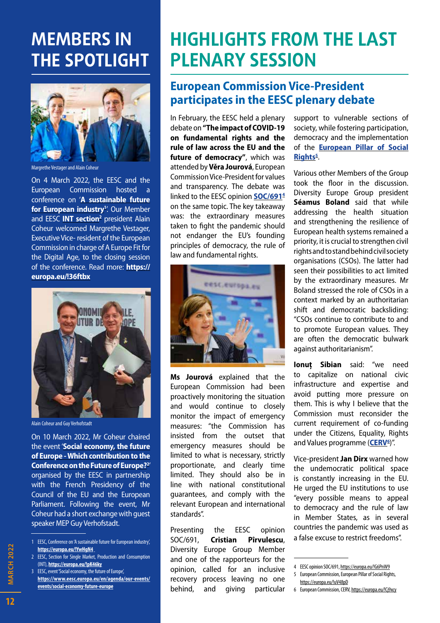# **MEMBERS IN THE SPOTLIGHT**



Margrethe Vestager and Alain Coheur

On 4 March 2022, the EESC and the European Commission hosted a conference on '**[A sustainable future](https://europa.eu/!YwHgN4)**  for European industry<sup>1</sup>'. Our Member and EESC **[INT section](https://europa.eu/!pK46ky)<sup>2</sup>** president Alain Coheur welcomed Margrethe Vestager, Executive Vice- resident of the European Commission in charge of A Europe Fit for the Digital Age, to the closing session of the conference. Read more: **[https://](https://europa.eu/!36ftbx) [europa.eu/!36ftbx](https://europa.eu/!36ftbx)**



Alain Coheur and Guy Verhofstadt

On 10 March 2022, Mr Coheur chaired the event '**[Social economy, the future](https://www.eesc.europa.eu/en/agenda/our-events/events/social-economy-future-europe) [of Europe - Which contribution to the](https://www.eesc.europa.eu/en/agenda/our-events/events/social-economy-future-europe) [Conference on the Future of Europe?2](https://www.eesc.europa.eu/en/agenda/our-events/events/social-economy-future-europe)** ' organised by the EESC in partnership with the French Presidency of the Council of the EU and the European Parliament. Following the event, Mr Coheur had a short exchange with guest speaker MEP Guy Verhofstadt.

- 2 EESC, Section for Single Market, Production and Consumption (INT), **<https://europa.eu/!pK46ky>**
- 3 EESC, event 'Social economy, the future of Europe', **[https://www.eesc.europa.eu/en/agenda/our-events/](https://www.eesc.europa.eu/en/agenda/our-events/events/social-economy-future-europe) [events/social-economy-future-europe](https://www.eesc.europa.eu/en/agenda/our-events/events/social-economy-future-europe)**

# **HIGHLIGHTS FROM THE LAST PLENARY SESSION**

# **European Commission Vice-President participates in the EESC plenary debate**

In February, the EESC held a plenary debate on **"The impact of COVID-19 on fundamental rights and the rule of law across the EU and the future of democracy"**, which was attended by **Věra Jourová**, European Commission Vice-President for values and transparency. The debate was linked to the EESC opinion **[SOC/691](https://europa.eu/!G6PnW9)4**  on the same topic. The key takeaway was: the extraordinary measures taken to fight the pandemic should not endanger the EU's founding principles of democracy, the rule of law and fundamental rights.



**Ms Jourová** explained that the European Commission had been proactively monitoring the situation and would continue to closely monitor the impact of emergency measures: "the Commission has insisted from the outset that emergency measures should be limited to what is necessary, strictly proportionate, and clearly time limited. They should also be in line with national constitutional guarantees, and comply with the relevant European and international standards".

Presenting the EESC opinion SOC/691, **Cristian Pîrvulescu**, Diversity Europe Group Member and one of the rapporteurs for the opinion, called for an inclusive recovery process leaving no one behind, and giving particular support to vulnerable sections of society, while fostering participation, democracy and the implementation of the **[European Pillar of Social](https://europa.eu/!uV48pD)**  Rights<sup>5</sup>.

Various other Members of the Group took the floor in the discussion. Diversity Europe Group president **Séamus Boland** said that while addressing the health situation and strengthening the resilience of European health systems remained a priority, it is crucial to strengthen civil rights and to stand behind civil society organisations (CSOs). The latter had seen their possibilities to act limited by the extraordinary measures. Mr Boland stressed the role of CSOs in a context marked by an authoritarian shift and democratic backsliding: "CSOs continue to contribute to and to promote European values. They are often the democratic bulwark against authoritarianism".

**Ionuț Sibian** said: "we need to capitalize on national civic infrastructure and expertise and avoid putting more pressure on them. This is why I believe that the Commission must reconsider the current requirement of co-funding under the Citizens, Equality, Rights and Values programme (**[CERV](https://europa.eu/!Cj9xcy)6** )".

Vice-president **Jan Dirx** warned how the undemocratic political space is constantly increasing in the EU. He urged the EU institutions to use "every possible means to appeal to democracy and the rule of law in Member States, as in several countries the pandemic was used as a false excuse to restrict freedoms".

 $12$ 

<sup>1</sup> EESC, Conference on 'A sustainable future for European industry', **<https://europa.eu/!YwHgN4>**

<sup>4</sup> EESC opinion SOC/691,<https://europa.eu/!G6PnW9>

<sup>5</sup> European Commission, European Pillar of Social Rights, <https://europa.eu/!uV48pD>

<sup>6</sup> European Commission, CERV, <https://europa.eu/!Cj9xcy>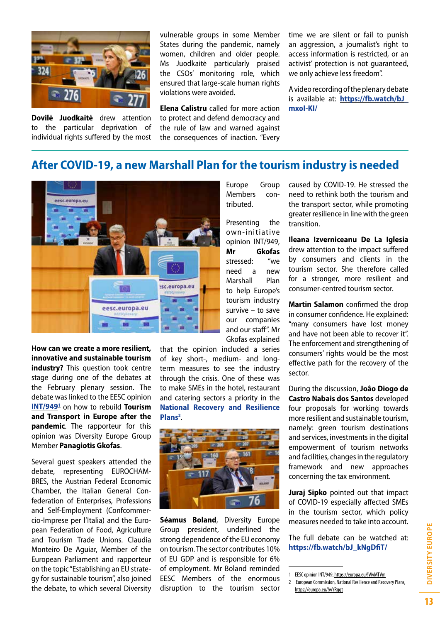

**Dovilė Juodkaitė** drew attention to the particular deprivation of individual rights suffered by the most vulnerable groups in some Member States during the pandemic, namely women, children and older people. Ms Juodkaitė particularly praised the CSOs' monitoring role, which ensured that large-scale human rights violations were avoided.

**Elena Calistru** called for more action to protect and defend democracy and the rule of law and warned against the consequences of inaction. "Every time we are silent or fail to punish an aggression, a journalist's right to access information is restricted, or an activist' protection is not guaranteed, we only achieve less freedom".

A video recording of the plenary debate is available at: **[https://fb.watch/bJ\\_](https://fb.watch/bJ_mxoI-KI/) [mxoI-KI/](https://fb.watch/bJ_mxoI-KI/)**

### **After COVID-19, a new Marshall Plan for the tourism industry is needed**



**How can we create a more resilient, innovative and sustainable tourism industry?** This question took centre stage during one of the debates at the February plenary session. The debate was linked to the EESC opinion **[INT/9491](https://europa.eu/!WvMTVm)** on how to rebuild **Tourism and Transport in Europe after the pandemic**. The rapporteur for this opinion was Diversity Europe Group Member **Panagiotis Gkofas**.

Several guest speakers attended the debate, representing EUROCHAM-BRES, the Austrian Federal Economic Chamber, the Italian General Confederation of Enterprises, Professions and Self-Employment (Confcommercio-Imprese per l'Italia) and the European Federation of Food, Agriculture and Tourism Trade Unions. Claudia Monteiro De Aguiar, Member of the European Parliament and rapporteur on the topic "Establishing an EU strategy for sustainable tourism", also joined the debate, to which several Diversity

that the opinion included a series of key short-, medium- and longterm measures to see the industry through the crisis. One of these was to make SMEs in the hotel, restaurant and catering sectors a priority in the **[National Recovery and Resilience](https://europa.eu/!wYRggt)  [Plans](https://europa.eu/!wYRggt)2** .



**Séamus Boland**, Diversity Europe Group president, underlined the strong dependence of the EU economy on tourism. The sector contributes 10% of EU GDP and is responsible for 6% of employment. Mr Boland reminded EESC Members of the enormous disruption to the tourism sector

Europe Group Members contributed.

Presenting the own-initiative opinion INT/949, **Mr Gkofas** stressed: "we need a new Marshall Plan to help Europe's tourism industry survive – to save our companies and our staff". Mr Gkofas explained caused by COVID-19. He stressed the need to rethink both the tourism and the transport sector, while promoting greater resilience in line with the green transition.

**Ileana Izverniceanu De La Iglesia** drew attention to the impact suffered by consumers and clients in the tourism sector. She therefore called for a stronger, more resilient and consumer-centred tourism sector.

**Martin Salamon** confirmed the drop in consumer confidence. He explained: "many consumers have lost money and have not been able to recover it". The enforcement and strengthening of consumers' rights would be the most effective path for the recovery of the sector.

During the discussion, **Joâo Diogo de Castro Nabais dos Santos** developed four proposals for working towards more resilient and sustainable tourism, namely: green tourism destinations and services, investments in the digital empowerment of tourism networks and facilities, changes in the regulatory framework and new approaches concerning the tax environment.

**Juraj Sipko** pointed out that impact of COVID-19 especially affected SMEs in the tourism sector, which policy measures needed to take into account.

The full debate can be watched at: **[https://fb.watch/bJ\\_kNgDfiT/](https://fb.watch/bJ_kNgDfiT/)**

<sup>1</sup> EESC opinion INT/949, <https://europa.eu/!WvMTVm>

<sup>2</sup> European Commission, National Resilience and Recovery Plans, <https://europa.eu/!wYRggt>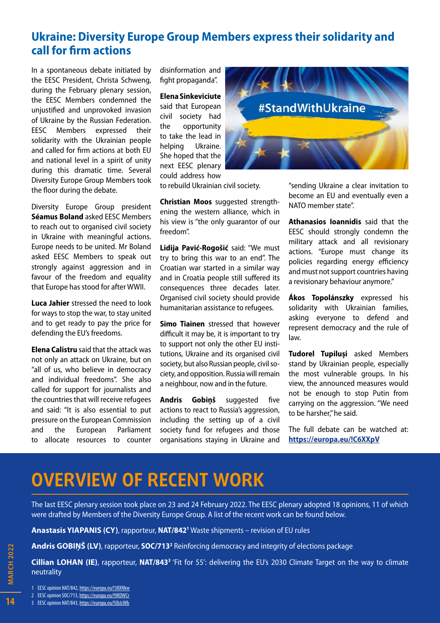# **Ukraine: Diversity Europe Group Members express their solidarity and call for firm actions**

In a spontaneous debate initiated by the EESC President, Christa Schweng, during the February plenary session, the EESC Members condemned the unjustified and unprovoked invasion of Ukraine by the Russian Federation. EESC Members expressed their solidarity with the Ukrainian people and called for firm actions at both EU and national level in a spirit of unity during this dramatic time. Several Diversity Europe Group Members took the floor during the debate.

Diversity Europe Group president **Séamus Boland** asked EESC Members to reach out to organised civil society in Ukraine with meaningful actions. Europe needs to be united. Mr Boland asked EESC Members to speak out strongly against aggression and in favour of the freedom and equality that Europe has stood for after WWII.

**Luca Jahier** stressed the need to look for ways to stop the war, to stay united and to get ready to pay the price for defending the EU's freedoms.

**Elena Calistru** said that the attack was not only an attack on Ukraine, but on "all of us, who believe in democracy and individual freedoms". She also called for support for journalists and the countries that will receive refugees and said: "It is also essential to put pressure on the European Commission and the European Parliament to allocate resources to counter disinformation and fight propaganda".

**Elena Sinkeviciute**  said that European civil society had the opportunity to take the lead in helping Ukraine. She hoped that the next EESC plenary could address how



to rebuild Ukrainian civil society.

**Christian Moos** suggested strengthening the western alliance, which in his view is "the only guarantor of our freedom".

**Lidija Pavić-Rogošić** said: "We must try to bring this war to an end". The Croatian war started in a similar way and in Croatia people still suffered its consequences three decades later. Organised civil society should provide humanitarian assistance to refugees.

**Simo Tiainen** stressed that however difficult it may be, it is important to try to support not only the other EU institutions, Ukraine and its organised civil society, but also Russian people, civil society, and opposition. Russia will remain a neighbour, now and in the future.

**Andris Gobiņš** suggested five actions to react to Russia's aggression, including the setting up of a civil society fund for refugees and those organisations staying in Ukraine and

"sending Ukraine a clear invitation to become an EU and eventually even a NATO member state".

**Athanasios Ioannidis** said that the EESC should strongly condemn the military attack and all revisionary actions. "Europe must change its policies regarding energy efficiency and must not support countries having a revisionary behaviour anymore."

**Ákos Topolánszky** expressed his solidarity with Ukrainian families, asking everyone to defend and represent democracy and the rule of law.

**Tudorel Tupiluși** asked Members stand by Ukrainian people, especially the most vulnerable groups. In his view, the announced measures would not be enough to stop Putin from carrying on the aggression. "We need to be harsher," he said.

The full debate can be watched at: **<https://europa.eu/!C6XXpV>**

# **OVERVIEW OF RECENT WORK**

The last EESC plenary session took place on 23 and 24 February 2022. The EESC plenary adopted 18 opinions, 11 of which were drafted by Members of the Diversity Europe Group. A list of the recent work can be found below.

**Anastasis YIAPANIS (CY)**, rapporteur, **[NAT/8421](https://europa.eu/!38XNkw)** Waste shipments – revision of EU rules

**Andris GOBIŅŠ (LV)**, rapporteur, **SOC/713<sup>2</sup>** Reinforcing democracy and integrity of elections package

**Cillian LOHAN (IE)**, rapporteur, NAT/843<sup>3</sup> 'Fit for 55': delivering the EU's 2030 Climate Target on the way to climate neutrality

1 EESC opinion NAT/842, <https://europa.eu/!38XNkw>

2 EESC opinion SOC/713, <https://europa.eu/!9RDWCr>

3 EESC opinion NAT/843, <https://europa.eu/!UbJcWb>

14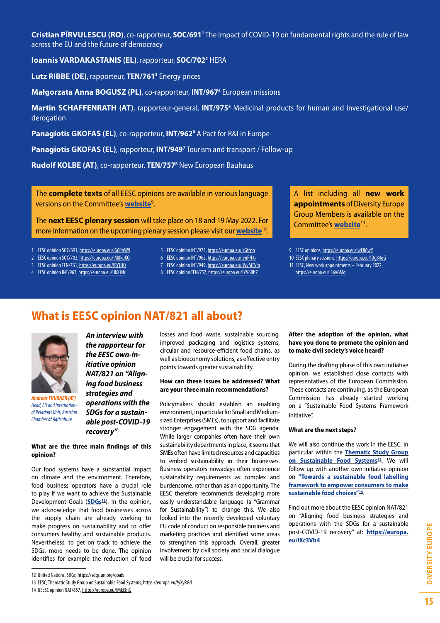**Cristian PÎRVULESCU (RO)**, co-rapporteur, **[SOC/691](https://europa.eu/!G6PnW9)1** The impact of COVID-19 on fundamental rights and the rule of law across the EU and the future of democracy

**Ioannis VARDAKASTANIS (EL)**, rapporteur, **[SOC/702](https://europa.eu/!M8kpKQ)2** HERA

**Lutz RIBBE (DE)**, rapporteur, **[TEN/7613](https://europa.eu/!RYjJJQ)** Energy prices

**Małgorzata Anna BOGUSZ (PL)**, co-rapporteur, **[INT/967](https://europa.eu/!JkXJNr)4** European missions

Martin SCHAFFENRATH (AT), rapporteur-general, INT/975<sup>5</sup> Medicinal products for human and investigational use/ derogation

Panagiotis GKOFAS (EL), co-rapporteur, INT/962<sup>6</sup> A Pact for R&I in Europe

**Panagiotis GKOFAS (EL)**, rapporteur, **[INT/949](https://europa.eu/!WvMTVm)<sup>7</sup> Tourism and transport / Follow-up** 

**Rudolf KOLBE (AT)**, co-rapporteur, **[TEN/757](https://europa.eu/!YV6Bb7)8** New European Bauhaus

The **complete texts** of all EESC opinions are available in various language versions on the Committee's **[website](https://europa.eu/!wF86wY)**<sup>9</sup> .

The **next EESC plenary session** will take place on 18 and 19 May 2022. For more information on the upcoming plenary session please visit our **[website](https://europa.eu/!Dg84qG)**<sup>10</sup>.

- 1 EESC opinion SOC/691, <https://europa.eu/!G6PnW9>
- 2 EESC opinion SOC/702, <https://europa.eu/!M8kpKQ>
- 3 EESC opinion TEN/761,<https://europa.eu/!RYjJJQ>
- 4 EESC opinion INT/967,<https://europa.eu/!JkXJNr>
- 5 EESC opinion INT/975,<https://europa.eu/!cGfcpn>
- 6 EESC opinion INT/962,<https://europa.eu/!ynPH4j>
- 7 EESC opinion INT/949,<https://europa.eu/!WvMTVm>
- 8 EESC opinion TEN/757,<https://europa.eu/!YV6Bb7>

A list including all **new work appointments** of Diversity Europe Group Members is available on the Committee's **[website](https://europa.eu/!36vGMg)**<sup>11</sup>.

9 EESC opinions,<https://europa.eu/!wF86wY>

10 EESC plenary sessions,<https://europa.eu/!Dg84qG> 11 EESC, New work appointments – February 2022, <https://europa.eu/!36vGMg>

# **What is EESC opinion NAT/821 all about?**



*Andreas THURNER (AT) Head, EU and International Relations Unit, Austrian Chamber of Agriculture*

*An interview with the rapporteur for the EESC own-initiative opinion NAT/821 on "Aligning food business strategies and operations with the SDGs for a sustainable post-COVID-19 recovery"*

**What are the three main findings of this opinion?** 

Our food systems have a substantial impact on climate and the environment. Therefore, food business operators have a crucial role to play if we want to achieve the Sustainable Development Goals (**SDGs**<sup>12</sup>). In the opinion, we acknowledge that food businesses across the supply chain are already working to make progress on sustainability and to offer consumers healthy and sustainable products. Nevertheless, to get on track to achieve the SDGs, more needs to be done. The opinion identifies for example the reduction of food losses and food waste, sustainable sourcing, improved packaging and logistics systems, circular and resource-efficient food chains, as well as bioeconomy solutions, as effective entry points towards greater sustainability.

#### **How can these issues be addressed? What are your three main recommendations?**

Policymakers should establish an enabling environment, in particular for Small and Mediumsized Enterprises (SMEs), to support and facilitate stronger engagement with the SDG agenda. While larger companies often have their own sustainability departments in place, it seems that SMEs often have limited resources and capacities to embed sustainability in their businesses. Business operators nowadays often experience sustainability requirements as complex and burdensome, rather than as an opportunity. The EESC therefore recommends developing more easily understandable language (a "Grammar for Sustainability") to change this. We also looked into the recently developed voluntary EU code of conduct on responsible business and marketing practices and identified some areas to strengthen this approach. Overall, greater involvement by civil society and social dialogue will be crucial for success.

#### **After the adoption of the opinion, what have you done to promote the opinion and to make civil society's voice heard?**

During the drafting phase of this own initiative opinion, we established close contacts with representatives of the European Commission. These contacts are continuing, as the European Commission has already started working on a "Sustainable Food Systems Framework Initiative".

#### **What are the next steps?**

We will also continue the work in the EESC, in particular within the **[Thematic Study Group](https://europa.eu/!yXyRGd)  on Sustainable Food Systems<sup>13</sup>. We will** follow up with another own-initiative opinion on **["Towards a sustainable food labelling](https://europa.eu/!Mkj3nG)  [framework to empower consumers to make](https://europa.eu/!Mkj3nG)  [sustainable food choices"1](https://europa.eu/!Mkj3nG)4**.

Find out more about the EESC opinion NAT/821 on "Aligning food business strategies and operations with the SDGs for a sustainable post-COVID-19 recovery" at: **[https://europa.](https://europa.eu/!Xc3Vb4) [eu/!Xc3Vb4](https://europa.eu/!Xc3Vb4)** 

**DIVERSITY EUROPE** 

<sup>12</sup> United Nations, SDGs,<https://sdgs.un.org/goals>

<sup>13</sup> EESC, Thematic Study Group on Sustainable Food Systems, <https://europa.eu/!yXyRGd>

<sup>14</sup> UEESC opinion NAT/857,<https://europa.eu/!Mkj3nG>